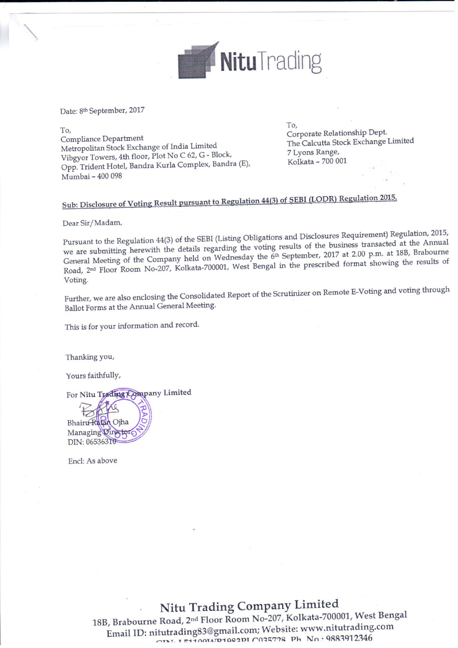

Date: 8th September, 2017

To, Compliance Department Metropolitan Stock Exchange of India Limited Vibgyor Towers, 4th floor, Plot No C 62, G - Block, Opp. Trident Hotel, Bandra Kurla Complex, Bandra (E), Mumbai - 400 098

To, Corporate Relationship Dept. The Calcutta Stock Exchange Limited 7 Lyons Range, Kolkata - 700 001

# Sub: Disclosure of Voting Result pursuant to Regulation 44(3) of SEBI (LODR) Regulation 2015.

Dear Sir/Madam,

Pursuant to the Regulation 44(3) of the SEBI (Listing Obligations and Disclosures Requirement) Regulation, 2015, we are submitting herewith the details regarding the voting results of the business transacted at the Annual General Meeting of the Company held on Wednesday the 6th September, 2017 at 2.00 p.m. at 18B, Brabourne Road, 2<sup>nd</sup> Floor Room No-207, Kolkata-700001, West Bengal in the prescribed format showing the results of Voting.

Further, we are also enclosing the Consolidated Report of the Scrutinizer on Remote E-Voting and voting through Ballot Forms at the Annual General Meeting.

This is for your information and record.

Thanking you,

Yours faithfully,

For Nitu Trading Company Limited

Bhairu Ratan Ojha Managing Director DIN: 06536310

Encl: As above

## Nitu Trading Company Limited

18B, Brabourne Road, 2<sup>nd</sup> Floor Room No-207, Kolkata-700001, West Bengal Email ID: nitutrading83@gmail.com; Website: www.nitutrading.com OTAT. I E1100347D1002DI C035728 Ph No.: 9883912346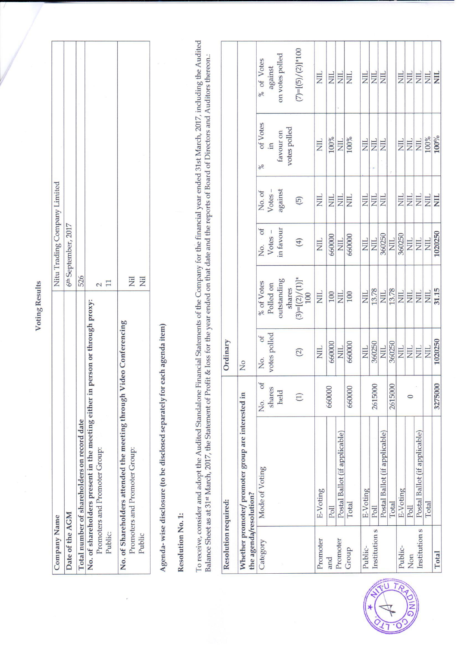# Voting Results

| Company Name                                                                  | Nitu Trading Company Limited    |
|-------------------------------------------------------------------------------|---------------------------------|
| Date of the AGM                                                               | 6 <sup>th</sup> September, 2017 |
| Total number of shareholders on record date                                   | 526                             |
| No. of shareholders present in the meeting either in person or through proxy: |                                 |
| Promoters and Promoter Group:                                                 |                                 |
| Public:                                                                       | $\mathbf{I}$                    |
| No. of Shareholders attended the meeting through Video Conferencing           |                                 |
| Promoters and Promoter Group:                                                 | EN                              |
| Public                                                                        | ΣÏ                              |
|                                                                               |                                 |

Agenda- wise disclosure (to be disclosed separately for each agenda item)

# Resolution No. 1:

To receive, consider and adopt the Audited Standalone Financial Statements of the Company for the financial year ended 31st March, 2017, including the Audited<br>Balance Sheet as at 31st March, 2017, the Statement of Profit &

| Resolution required:   |                                                    |                   | Ordinary             |                          |                   |                         |                           |                         |
|------------------------|----------------------------------------------------|-------------------|----------------------|--------------------------|-------------------|-------------------------|---------------------------|-------------------------|
| the agenda/resolution? | Whether promoter/ promoter group are interested in |                   | $\overline{N}$       |                          |                   |                         |                           |                         |
| Category               | Mode of Voting                                     | No. of            | $o$ f<br>No.         | % of Votes               | No. of            | No. of<br>Votes –       | of Votes<br>$\frac{9}{6}$ | % of Votes              |
|                        |                                                    | shares            | votes polled         | Polled on                | $Votes -$         |                         | $\Xi$                     | against                 |
|                        |                                                    | held              |                      | outstanding              | in favour         | against                 | favour on                 | on votes polled         |
|                        |                                                    |                   |                      | shares                   |                   |                         | votes polled              |                         |
|                        |                                                    | $\left( 1\right)$ | $(2)$                | $(3)=[(2)/(1)]^*$<br>100 | $\left( 4\right)$ | $\overline{5}$          |                           | $(7)=[(5)/(2)]*100$     |
| Promoter               | E-Voting                                           |                   | <b>EN</b>            | NIL                      | E                 | $\Xi$                   | EN                        | <b>NIL</b>              |
| and                    | Poll                                               | 660000            | 660000               | 100                      | 660000            | $\overline{\rm NIL}$    | 100%                      | $\Xi$                   |
| Promoter               | Postal Ballot (if applicable)                      |                   | <b>NIL</b>           | <b>E</b>                 | NIL               | $\Xi$                   | <b>NIL</b>                | <b>EN</b>               |
| Group                  | Total                                              | 660000            | 660000               | 100                      | 660000            | $\overline{\Xi}$        | 100%                      | <b>ZIIN</b>             |
| Public-                | E-Voting                                           |                   | <b>NIL</b>           | <b>NIL</b>               | <b>NIL</b>        | $\Xi$                   | E                         | <b>EIN</b>              |
| Institution s          | Poll                                               | 2615000           | 360250               | 13.78                    | <b>NIL</b>        | $\Xi$                   | $\overline{\text{H}}$     | NIL.                    |
|                        | Postal Ballot (if applicable)                      |                   | NIL                  | NIL                      | 360250            | Σ                       | E                         | <b>NIL</b>              |
|                        | Total                                              | 2615000           | 360250               | 13.78                    | NIL.              |                         |                           |                         |
| Public-                | E-Voting                                           |                   | $\overline{\Xi}$     | $\frac{1}{2}$            | 360250            | <b>ZIIN</b>             | <b>NIL</b>                | $\overline{\mathbb{H}}$ |
| Non                    | Poll                                               |                   | <b>NIL</b>           | $\overline{\text{NIL}}$  | <b>NIL</b>        | $\frac{1}{2}$           | $\overline{\Xi}$          | $\overline{\text{H}}$   |
| Institution s          | Postal Ballot (if applicable)                      |                   | $\overline{\rm NIL}$ | $\overline{\text{NIL}}$  | <b>NIL</b>        | $\overline{\rm NIL}$    | E                         | $\overline{\text{NIL}}$ |
|                        | Total                                              |                   | NIL.                 | <b>EN</b>                | <b>NIL</b>        | $\overline{\rm NIL}$    | 100%                      | NIL.                    |
| Total                  |                                                    | 3275000           | 1020250              | 31.15                    | 1020250           | $\overline{\text{NIL}}$ | $100\%$                   | <b>NIL</b>              |

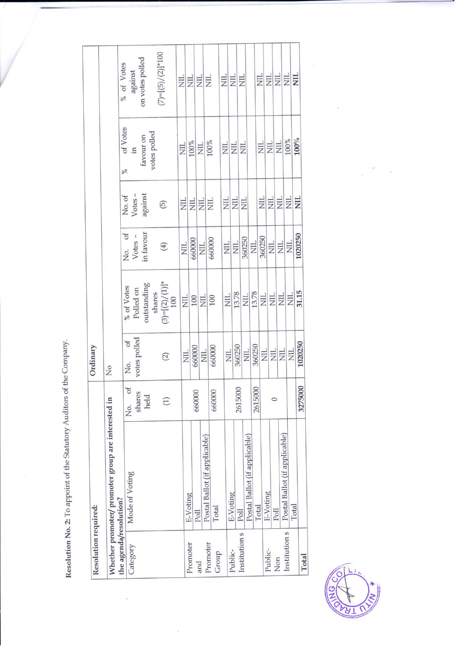Resolution No. 2: To appoint of the Statutory Auditors of the Company.

i.

|                        | Resolution required:                               |                            | Ordinary                |                          |              |                             |                     |                         |
|------------------------|----------------------------------------------------|----------------------------|-------------------------|--------------------------|--------------|-----------------------------|---------------------|-------------------------|
|                        | Whether promoter/ promoter group are interested in |                            | $\overline{N}$          |                          |              |                             |                     |                         |
| the agenda/resolution? |                                                    |                            |                         |                          | of           |                             | of Votes<br>$\%$    | % of Votes              |
|                        | Mode of Voting                                     | $\overline{\sigma}$<br>No. | of<br>Νo.               | % of Votes               | No.          | No.of                       |                     |                         |
| Category               |                                                    | shares                     | votes polled            | Polled on                | Votes -      | Votes-                      | $\Xi$               | against                 |
|                        |                                                    | held                       |                         | outstanding              | in favour    | against                     | favour on           | on votes polled         |
|                        |                                                    |                            |                         | shares                   |              |                             | votes polled        |                         |
|                        |                                                    | $\Xi$                      | $\widetilde{2}$         | $(3)=[(2)/(1)]^*$<br>100 | $(4)$        | $\left(\overline{5}\right)$ |                     | $(7)=[(5)/(2)]*100$     |
|                        |                                                    |                            |                         |                          |              |                             |                     |                         |
|                        |                                                    |                            | NIL<br>                 | <b>NIL</b>               | NIL.         | $\overline{\text{H}}$       | <b>NIL</b>          | $\frac{1}{2}$           |
| Promoter               | E-Voting                                           |                            | 660000                  | 100                      | 660000       | $\frac{1}{2}$               | 100%                | NIL                     |
| and                    | Poll                                               | 660000                     |                         |                          | <b>NIL</b>   | $\overline{\mathbf{H}}$     | <b>EN</b>           | $\overline{\Xi}$        |
|                        | Postal Ballot (if applicable)                      |                            | $\overline{\mathbb{H}}$ | $\overline{\mathbf{H}}$  |              |                             |                     |                         |
| Promoter<br>Group      | Total                                              | 660000                     | 660000                  | 100                      | 660000       | $\overline{\Xi}$            | 100%                | $\Xi$                   |
|                        |                                                    |                            |                         |                          | NIL          | $\overline{H}$              | $\overline{\Xi}$    | $\overline{\mathbb{E}}$ |
| Public-                | E-Voting                                           |                            | NIL                     | <b>NIL</b>               |              |                             | $\overline{\Xi}$    | $\overline{z}$          |
|                        | Poll                                               | 2615000                    | 360250                  | 13.78                    | <b>NIL</b>   | $\Xi$                       |                     |                         |
| Institution s          | Postal Ballot (if applicable)                      |                            | NIL                     | $\overline{\Xi}$         | 360250       | <b>EN</b>                   | $\overline{\rm ML}$ | $\overline{\text{H}}$   |
|                        | Total                                              | 2615000                    | 360250                  | 13.78                    | NIL.         |                             |                     |                         |
|                        |                                                    |                            | <b>NIL</b>              | NIL                      | 360250       | <b>EIN</b>                  | E<br>N              | $\overline{\text{H}}$   |
| Public-                | E-Voting                                           |                            | $\overline{\rm M}$      | <b>ZIIN</b>              | $\mathbb{E}$ | $\overline{\Xi}$            | <b>HIN</b>          | $\overline{\text{H}}$   |
| Non                    | Poll                                               |                            |                         |                          | <b>ZIIN</b>  | <b>NIL</b>                  | EN E                | $\overline{\Xi}$        |
| Institution s          | Postal Ballot (if applicable)                      |                            | NIL                     | $\overline{\text{L}}$    |              | $\overline{\text{NIL}}$     | 100%                | $\overline{5}$          |
|                        | Total                                              |                            | <b>NIL</b>              | NIL                      | <b>NIL</b>   |                             |                     |                         |
| Total                  |                                                    | 3275000                    | 1020250                 | 31.15                    | 1020250      | <b>NII</b>                  | $100\%$             | $\Xi$                   |



 $\frac{1}{2}$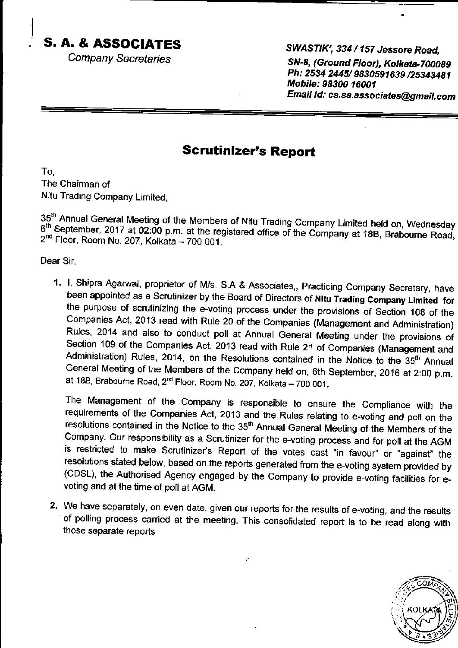### S. A. & ASSOCIATES

Company Secretaries

#### SWASTIK', 334 / 157 Jessore Road,

SN-8, (Ground Floor), Kolkata-700089 Ph: 2534 2445/ 9830591639 /25343481 Mobile: 98300 16001 Email Id: cs.sa.associates@gmail.com

#### **Scrutinizer's Report**

To, The Chairman of Nitu Trading Company Limited,

35<sup>th</sup> Annual General Meeting of the Members of Nitu Trading Company Limited held on, Wednesday 6<sup>th</sup> September, 2017 at 02:00 p.m. at the registered office of the Company at 18B, Brabourne Road, 2<sup>nd</sup> Floor, Room No. 207,

Dear Sir,

1. I, Shipra Agarwal, proprietor of M/s. S.A & Associates,, Practicing Company Secretary, have<br>been appointed as a Scrutinizer by the Board of Directors of Nitu Trading Company Limited for<br>the purpose of scrutinizing the e Section 109 of the Companies Act, 2013 read with Rule 21 of Companies (Management and Administration) Rules, 2014, on the Resolutions contained in the Notice to the 35<sup>th</sup> Annual General Meeting of the Members of the Company held on, 6th September, 2016 at 2:00 p.m. at 18B, Brabourne Road, 2<sup>nd</sup> Floor, Room No. 207, Kolkata - 700 001.

The Management of the Company is responsible to ensure the Compliance with the requirements of the companies Act, 2013 and the Rures rerating to e-voting and pofl on the resolutions contained in the Notice to the 35<sup>th</sup> Annual General Meeting of the Members of the<br>Company. Our responsibility as a Scrutinizer for the e-voting process and for poll at the AGM is restricted to make Scrutinizer's Report of the votes cast "in favour" or "against" the resolutions stated below, based on the reports generated from the e-voting system provided by (CDSL), the Authorised Agency engaged voting and at the time of poll at AGM.

2. We have separately, on even date, given our reports for the results of e-voting, and the results of polling process carried at the meeting. This consolidated report is to be read along with those separate reports

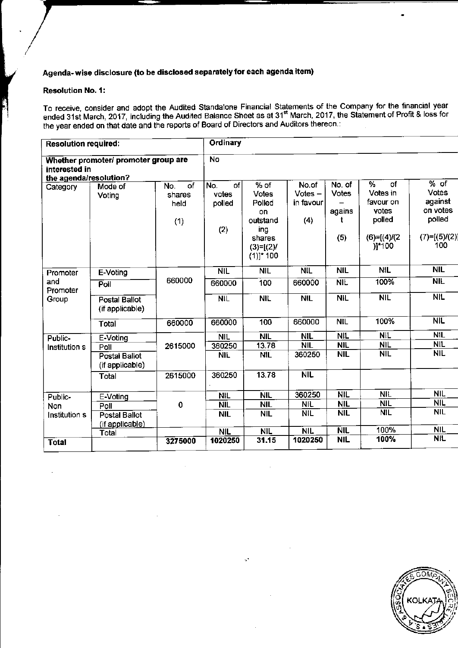#### Agenda-wise disclosure (to be disclosed separately for each agenda item)

#### **Resolution No. 1:**

To receive, consider and adopt the Audited Standalone Financial Statements of the Company for the financial year<br>ended 31st March, 2017, including the Audited Balance Sheet as at 31<sup>st</sup> March, 2017, the Statement of Profit

| <b>Resolution required:</b>             |                                         |                                    | Ordinary                            |                                                                                            |                                        |                                              |                                                                                    |                                                                                |  |
|-----------------------------------------|-----------------------------------------|------------------------------------|-------------------------------------|--------------------------------------------------------------------------------------------|----------------------------------------|----------------------------------------------|------------------------------------------------------------------------------------|--------------------------------------------------------------------------------|--|
| interested in<br>the agenda/resolution? | Whether promoter/ promoter group are    |                                    | <b>No</b>                           |                                                                                            |                                        |                                              |                                                                                    |                                                                                |  |
| Category                                | Mode of<br>Voting                       | of<br>No.<br>shares<br>held<br>(1) | of<br>No.<br>votes<br>polled<br>(2) | $%$ of<br>Votes<br>Polled<br>on<br>outstand<br>ing<br>shares<br>$(3)=[(2)$<br>$(1)]$ * 100 | No.of<br>$Votes -$<br>in favour<br>(4) | No. of<br><b>Votes</b><br>agains<br>t<br>(5) | of<br>%<br>Votes in<br>favour on<br>votes<br>polled<br>$(6)=[(4)/(2)$<br>$)$ ]*100 | % of<br><b>Votes</b><br>against<br>on votes<br>polled<br>$(7)=[(5)/(2)$<br>100 |  |
| Promoter                                | E-Voting                                |                                    | NIL                                 | <b>NIL</b>                                                                                 | <b>NIL</b>                             | <b>NIL</b>                                   | <b>NIL</b>                                                                         | <b>NIL</b>                                                                     |  |
| and<br>Promoter<br>Group                | Poll                                    | 660000                             | 660000                              | 100                                                                                        | 660000                                 | <b>NIL</b>                                   | 100%                                                                               | <b>NIL</b>                                                                     |  |
|                                         | <b>Postal Ballot</b><br>(if applicable) |                                    | NIL                                 | <b>NIL</b>                                                                                 | <b>NIL</b>                             | <b>NIL</b>                                   | <b>NIL</b>                                                                         | <b>NIL</b>                                                                     |  |
|                                         | Total                                   | 660000                             | 660000                              | 100                                                                                        | 660000                                 | <b>NIL</b>                                   | 100%                                                                               | NIL                                                                            |  |
| Public-                                 | E-Voting                                |                                    | <b>NIL</b>                          | <b>NIL</b>                                                                                 | <b>NIL</b>                             | <b>NIL</b>                                   | <b>NIL</b>                                                                         | <b>NIL</b>                                                                     |  |
| Institution s                           | Poll                                    | 2615000                            | 360250                              | 13.78                                                                                      | <b>NIL</b>                             | <b>NIL</b>                                   | <b>NIL</b>                                                                         | <b>NIL</b>                                                                     |  |
|                                         | Postal Ballot<br>(if applicable)        |                                    | <b>NIL</b>                          | <b>NIL</b>                                                                                 | 360250                                 | <b>NIL</b>                                   | <b>NIL</b>                                                                         | <b>NIL</b>                                                                     |  |
|                                         | Total                                   | 2615000                            | 360250                              | 13.78                                                                                      | <b>NIL</b>                             |                                              |                                                                                    |                                                                                |  |
| Public-                                 | E-Voting                                |                                    | <b>NIL</b>                          | <b>NIL</b>                                                                                 | 360250                                 | <b>NIL</b>                                   | <b>NIL</b>                                                                         | NIL                                                                            |  |
| <b>Non</b>                              | Poll                                    | $\mathbf 0$                        | <b>NIL</b>                          | <b>NIL</b>                                                                                 | <b>NIL</b>                             | <b>NIL</b>                                   | <b>NIL</b>                                                                         | <b>NIL</b>                                                                     |  |
| Institution s                           | Postal Ballot<br>(if applicable)        |                                    | <b>NIL</b>                          | <b>NIL</b>                                                                                 | <b>NIL</b>                             | <b>NIL</b>                                   | <b>NIL</b>                                                                         | <b>NIL</b>                                                                     |  |
|                                         | Total                                   |                                    | <b>NIL</b>                          | <b>NIL</b>                                                                                 | <b>NIL</b>                             | <b>NIL</b>                                   | 100%                                                                               | <b>NIL</b>                                                                     |  |
| <b>Total</b>                            |                                         | 3275000                            | 1020250                             | 31.15                                                                                      | 1020250                                | <b>NIL</b>                                   | 100%                                                                               | <b>NIL</b>                                                                     |  |